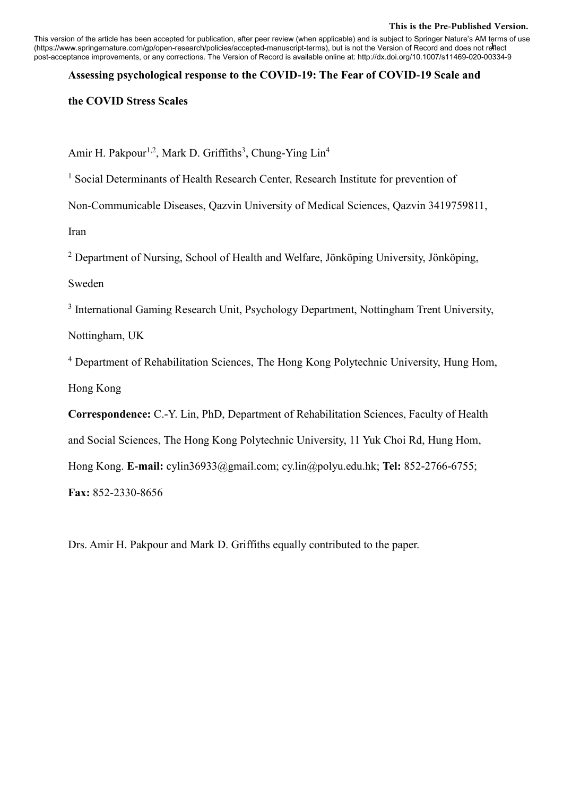## **This is the Pre-Published Version.**

1 (https://www.springernature.com/gp/open-research/policies/accepted-manuscript-terms), but is not the Version of Record and does not reflect This version of the article has been accepted for publication, after peer review (when applicable) and is subject to Springer Nature's AM terms of use post-acceptance improvements, or any corrections. The Version of Record is available online at: http://dx.doi.org/10.1007/s11469-020-00334-9

## **Assessing psychological response to the COVID-19: The Fear of COVID-19 Scale and**

**the COVID Stress Scales**

Amir H. Pakpour<sup>1,2</sup>, Mark D. Griffiths<sup>3</sup>, Chung-Ying Lin<sup>4</sup>

<sup>1</sup> Social Determinants of Health Research Center, Research Institute for prevention of

Non-Communicable Diseases, Qazvin University of Medical Sciences, Qazvin 3419759811,

Iran

<sup>2</sup> Department of Nursing, School of Health and Welfare, Jönköping University, Jönköping,

Sweden

<sup>3</sup> International Gaming Research Unit, Psychology Department, Nottingham Trent University,

Nottingham, UK

<sup>4</sup> Department of Rehabilitation Sciences, The Hong Kong Polytechnic University, Hung Hom, Hong Kong

**Correspondence:** C.-Y. Lin, PhD, Department of Rehabilitation Sciences, Faculty of Health and Social Sciences, The Hong Kong Polytechnic University, 11 Yuk Choi Rd, Hung Hom, Hong Kong. **E-mail:** cylin36933@gmail.com; cy.lin@polyu.edu.hk; **Tel:** 852-2766-6755;

**Fax:** 852-2330-8656

Drs. Amir H. Pakpour and Mark D. Griffiths equally contributed to the paper.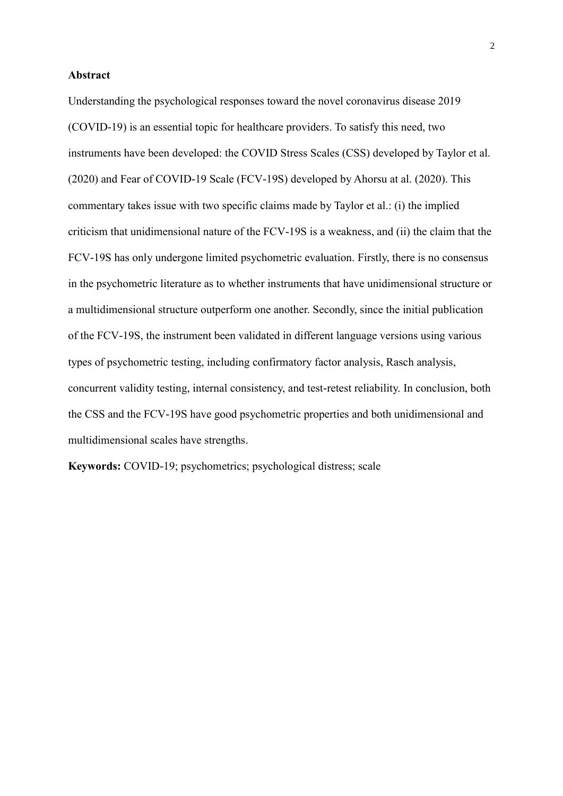## **Abstract**

Understanding the psychological responses toward the novel coronavirus disease 2019 (COVID-19) is an essential topic for healthcare providers. To satisfy this need, two instruments have been developed: the COVID Stress Scales (CSS) developed by Taylor et al. (2020) and Fear of COVID-19 Scale (FCV-19S) developed by Ahorsu at al. (2020). This commentary takes issue with two specific claims made by Taylor et al.: (i) the implied criticism that unidimensional nature of the FCV-19S is a weakness, and (ii) the claim that the FCV-19S has only undergone limited psychometric evaluation. Firstly, there is no consensus in the psychometric literature as to whether instruments that have unidimensional structure or a multidimensional structure outperform one another. Secondly, since the initial publication of the FCV-19S, the instrument been validated in different language versions using various types of psychometric testing, including confirmatory factor analysis, Rasch analysis, concurrent validity testing, internal consistency, and test-retest reliability. In conclusion, both the CSS and the FCV-19S have good psychometric properties and both unidimensional and multidimensional scales have strengths.

**Keywords:** COVID-19; psychometrics; psychological distress; scale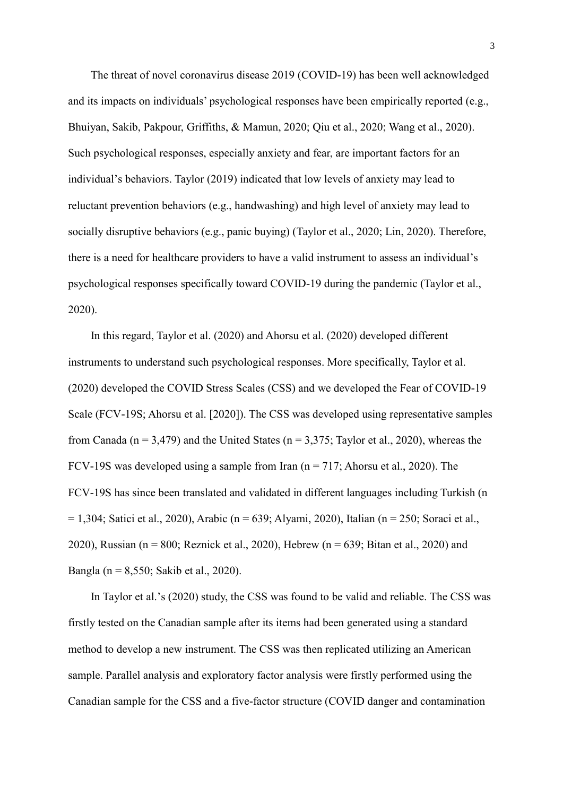The threat of novel coronavirus disease 2019 (COVID-19) has been well acknowledged and its impacts on individuals' psychological responses have been empirically reported (e.g., Bhuiyan, Sakib, Pakpour, Griffiths, & Mamun, 2020; Qiu et al., 2020; Wang et al., 2020). Such psychological responses, especially anxiety and fear, are important factors for an individual's behaviors. Taylor (2019) indicated that low levels of anxiety may lead to reluctant prevention behaviors (e.g., handwashing) and high level of anxiety may lead to socially disruptive behaviors (e.g., panic buying) (Taylor et al., 2020; Lin, 2020). Therefore, there is a need for healthcare providers to have a valid instrument to assess an individual's psychological responses specifically toward COVID-19 during the pandemic (Taylor et al., 2020).

In this regard, Taylor et al. (2020) and Ahorsu et al. (2020) developed different instruments to understand such psychological responses. More specifically, Taylor et al. (2020) developed the COVID Stress Scales (CSS) and we developed the Fear of COVID-19 Scale (FCV-19S; Ahorsu et al. [2020]). The CSS was developed using representative samples from Canada ( $n = 3,479$ ) and the United States ( $n = 3,375$ ; Taylor et al., 2020), whereas the FCV-19S was developed using a sample from Iran ( $n = 717$ ; Ahorsu et al., 2020). The FCV-19S has since been translated and validated in different languages including Turkish (n  $= 1,304$ ; Satici et al., 2020), Arabic (n = 639; Alyami, 2020), Italian (n = 250; Soraci et al., 2020), Russian ( $n = 800$ ; Reznick et al., 2020), Hebrew ( $n = 639$ ; Bitan et al., 2020) and Bangla (n = 8,550; Sakib et al., 2020).

In Taylor et al.'s (2020) study, the CSS was found to be valid and reliable. The CSS was firstly tested on the Canadian sample after its items had been generated using a standard method to develop a new instrument. The CSS was then replicated utilizing an American sample. Parallel analysis and exploratory factor analysis were firstly performed using the Canadian sample for the CSS and a five-factor structure (COVID danger and contamination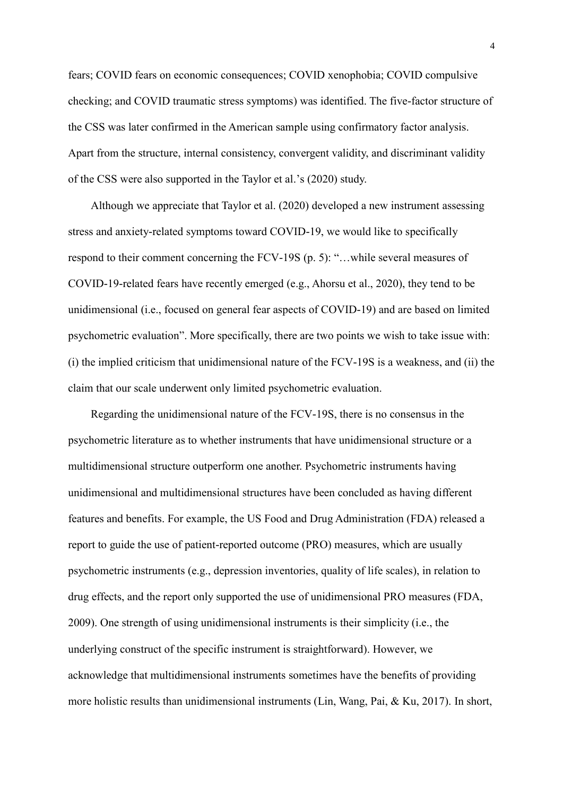fears; COVID fears on economic consequences; COVID xenophobia; COVID compulsive checking; and COVID traumatic stress symptoms) was identified. The five-factor structure of the CSS was later confirmed in the American sample using confirmatory factor analysis. Apart from the structure, internal consistency, convergent validity, and discriminant validity of the CSS were also supported in the Taylor et al.'s (2020) study.

Although we appreciate that Taylor et al. (2020) developed a new instrument assessing stress and anxiety-related symptoms toward COVID-19, we would like to specifically respond to their comment concerning the FCV-19S (p. 5): "…while several measures of COVID-19-related fears have recently emerged (e.g., Ahorsu et al., 2020), they tend to be unidimensional (i.e., focused on general fear aspects of COVID-19) and are based on limited psychometric evaluation". More specifically, there are two points we wish to take issue with: (i) the implied criticism that unidimensional nature of the FCV-19S is a weakness, and (ii) the claim that our scale underwent only limited psychometric evaluation.

Regarding the unidimensional nature of the FCV-19S, there is no consensus in the psychometric literature as to whether instruments that have unidimensional structure or a multidimensional structure outperform one another. Psychometric instruments having unidimensional and multidimensional structures have been concluded as having different features and benefits. For example, the US Food and Drug Administration (FDA) released a report to guide the use of patient-reported outcome (PRO) measures, which are usually psychometric instruments (e.g., depression inventories, quality of life scales), in relation to drug effects, and the report only supported the use of unidimensional PRO measures (FDA, 2009). One strength of using unidimensional instruments is their simplicity (i.e., the underlying construct of the specific instrument is straightforward). However, we acknowledge that multidimensional instruments sometimes have the benefits of providing more holistic results than unidimensional instruments (Lin, Wang, Pai, & Ku, 2017). In short,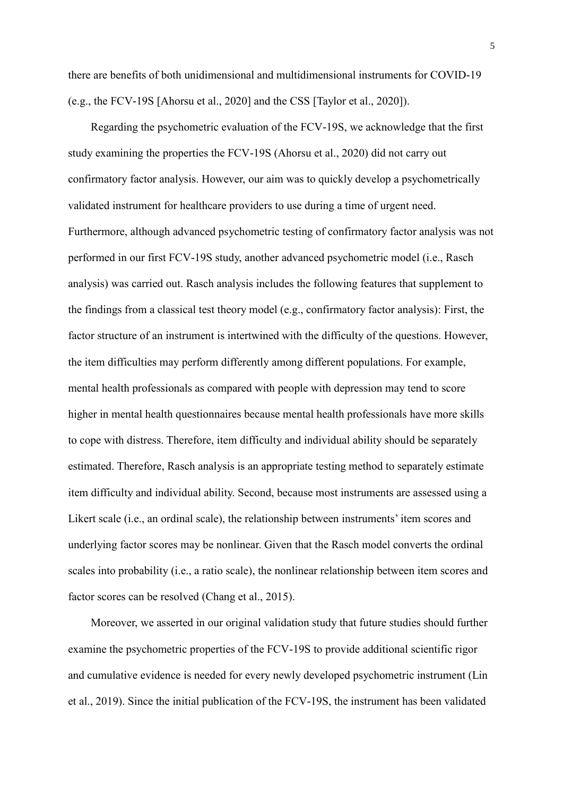there are benefits of both unidimensional and multidimensional instruments for COVID-19 (e.g., the FCV-19S [Ahorsu et al., 2020] and the CSS [Taylor et al., 2020]).

Regarding the psychometric evaluation of the FCV-19S, we acknowledge that the first study examining the properties the FCV-19S (Ahorsu et al., 2020) did not carry out confirmatory factor analysis. However, our aim was to quickly develop a psychometrically validated instrument for healthcare providers to use during a time of urgent need. Furthermore, although advanced psychometric testing of confirmatory factor analysis was not performed in our first FCV-19S study, another advanced psychometric model (i.e., Rasch analysis) was carried out. Rasch analysis includes the following features that supplement to the findings from a classical test theory model (e.g., confirmatory factor analysis): First, the factor structure of an instrument is intertwined with the difficulty of the questions. However, the item difficulties may perform differently among different populations. For example, mental health professionals as compared with people with depression may tend to score higher in mental health questionnaires because mental health professionals have more skills to cope with distress. Therefore, item difficulty and individual ability should be separately estimated. Therefore, Rasch analysis is an appropriate testing method to separately estimate item difficulty and individual ability. Second, because most instruments are assessed using a Likert scale (i.e., an ordinal scale), the relationship between instruments' item scores and underlying factor scores may be nonlinear. Given that the Rasch model converts the ordinal scales into probability (i.e., a ratio scale), the nonlinear relationship between item scores and factor scores can be resolved (Chang et al., 2015).

Moreover, we asserted in our original validation study that future studies should further examine the psychometric properties of the FCV-19S to provide additional scientific rigor and cumulative evidence is needed for every newly developed psychometric instrument (Lin et al., 2019). Since the initial publication of the FCV-19S, the instrument has been validated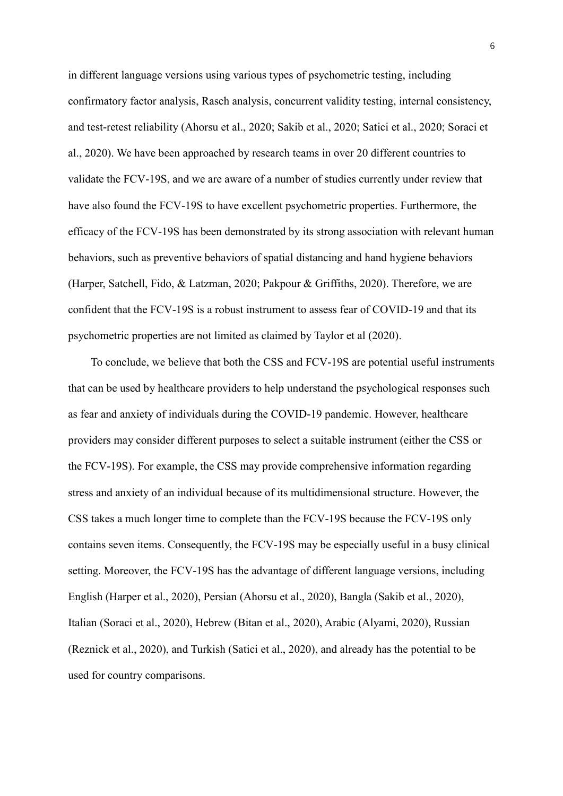in different language versions using various types of psychometric testing, including confirmatory factor analysis, Rasch analysis, concurrent validity testing, internal consistency, and test-retest reliability (Ahorsu et al., 2020; Sakib et al., 2020; Satici et al., 2020; Soraci et al., 2020). We have been approached by research teams in over 20 different countries to validate the FCV-19S, and we are aware of a number of studies currently under review that have also found the FCV-19S to have excellent psychometric properties. Furthermore, the efficacy of the FCV-19S has been demonstrated by its strong association with relevant human behaviors, such as preventive behaviors of spatial distancing and hand hygiene behaviors (Harper, Satchell, Fido, & Latzman, 2020; Pakpour & Griffiths, 2020). Therefore, we are confident that the FCV-19S is a robust instrument to assess fear of COVID-19 and that its psychometric properties are not limited as claimed by Taylor et al (2020).

To conclude, we believe that both the CSS and FCV-19S are potential useful instruments that can be used by healthcare providers to help understand the psychological responses such as fear and anxiety of individuals during the COVID-19 pandemic. However, healthcare providers may consider different purposes to select a suitable instrument (either the CSS or the FCV-19S). For example, the CSS may provide comprehensive information regarding stress and anxiety of an individual because of its multidimensional structure. However, the CSS takes a much longer time to complete than the FCV-19S because the FCV-19S only contains seven items. Consequently, the FCV-19S may be especially useful in a busy clinical setting. Moreover, the FCV-19S has the advantage of different language versions, including English (Harper et al., 2020), Persian (Ahorsu et al., 2020), Bangla (Sakib et al., 2020), Italian (Soraci et al., 2020), Hebrew (Bitan et al., 2020), Arabic (Alyami, 2020), Russian (Reznick et al., 2020), and Turkish (Satici et al., 2020), and already has the potential to be used for country comparisons.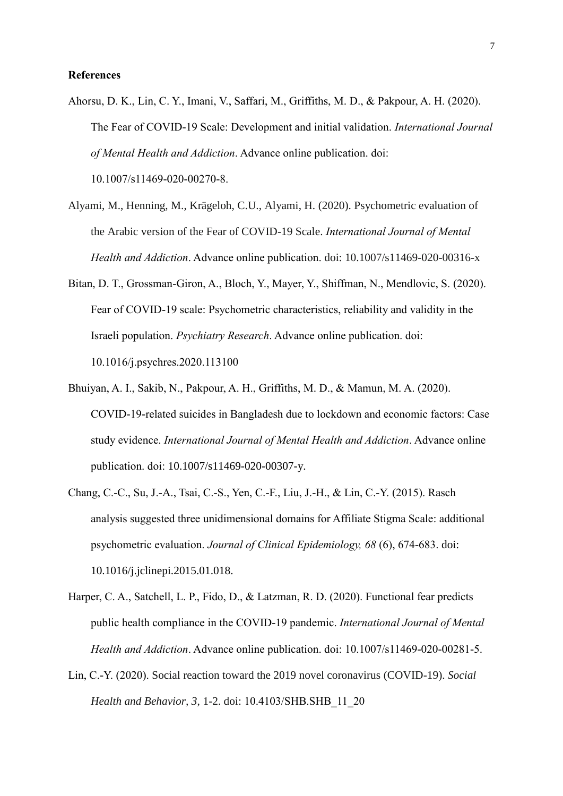## **References**

Ahorsu, D. K., Lin, C. Y., Imani, V., Saffari, M., Griffiths, M. D., & Pakpour, A. H. (2020). The Fear of COVID-19 Scale: Development and initial validation. *International Journal of Mental Health and Addiction*. Advance online publication. doi:

10.1007/s11469-020-00270-8.

- Alyami, M., Henning, M., Krägeloh, C.U., Alyami, H. (2020). Psychometric evaluation of the Arabic version of the Fear of COVID-19 Scale. *International Journal of Mental Health and Addiction*. Advance online publication. doi: 10.1007/s11469-020-00316-x
- Bitan, D. T., Grossman-Giron, A., Bloch, Y., Mayer, Y., Shiffman, N., Mendlovic, S. (2020). Fear of COVID-19 scale: Psychometric characteristics, reliability and validity in the Israeli population. *Psychiatry Research*. Advance online publication. doi: 10.1016/j.psychres.2020.113100
- Bhuiyan, A. I., Sakib, N., Pakpour, A. H., Griffiths, M. D., & Mamun, M. A. (2020). COVID-19-related suicides in Bangladesh due to lockdown and economic factors: Case study evidence. *International Journal of Mental Health and Addiction*. Advance online publication. doi: 10.1007/s11469-020-00307-y.
- Chang, C.-C., Su, J.-A., Tsai, C.-S., Yen, C.-F., Liu, J.-H., & Lin, C.-Y. (2015). Rasch analysis suggested three unidimensional domains for Affiliate Stigma Scale: additional psychometric evaluation. *Journal of Clinical Epidemiology, 68* (6), 674-683. doi: 10.1016/j.jclinepi.2015.01.018.
- Harper, C. A., Satchell, L. P., Fido, D., & Latzman, R. D. (2020). Functional fear predicts public health compliance in the COVID-19 pandemic. *International Journal of Mental Health and Addiction*. Advance online publication. doi: 10.1007/s11469-020-00281-5.
- Lin, C.-Y. (2020). Social reaction toward the 2019 novel coronavirus (COVID-19). *Social Health and Behavior, 3*, 1-2. doi: 10.4103/SHB.SHB\_11\_20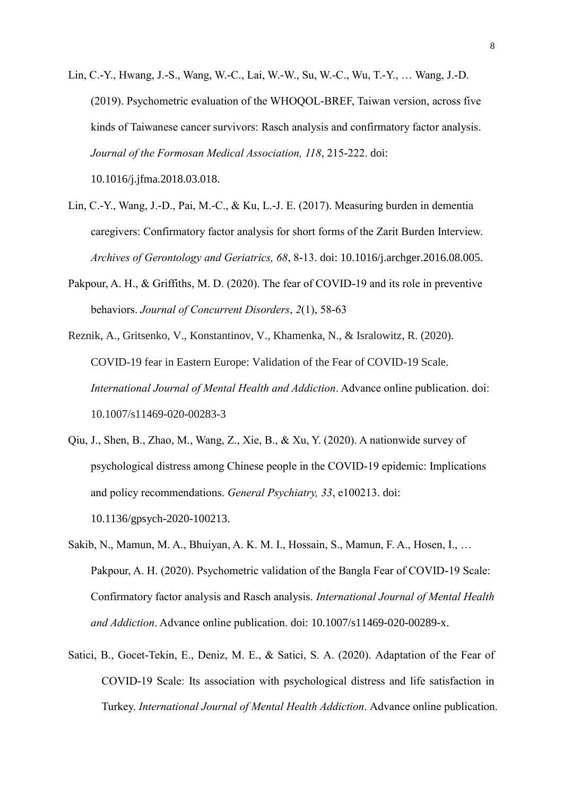Lin, C.-Y., Hwang, J.-S., Wang, W.-C., Lai, W.-W., Su, W.-C., Wu, T.-Y., … Wang, J.-D. (2019). Psychometric evaluation of the WHOQOL-BREF, Taiwan version, across five kinds of Taiwanese cancer survivors: Rasch analysis and confirmatory factor analysis. *Journal of the Formosan Medical Association, 118*, 215-222. doi:

10.1016/j.jfma.2018.03.018.

- Lin, C.-Y., Wang, J.-D., Pai, M.-C., & Ku, L.-J. E. (2017). Measuring burden in dementia caregivers: Confirmatory factor analysis for short forms of the Zarit Burden Interview. *Archives of Gerontology and Geriatrics, 68*, 8-13. doi: 10.1016/j.archger.2016.08.005.
- Pakpour, A. H., & Griffiths, M. D. (2020). The fear of COVID-19 and its role in preventive behaviors. *Journal of Concurrent Disorders*, *2*(1), 58-63
- Reznik, A., Gritsenko, V., Konstantinov, V., Khamenka, N., & Isralowitz, R. (2020). COVID-19 fear in Eastern Europe: Validation of the Fear of COVID-19 Scale. *International Journal of Mental Health and Addiction*. Advance online publication. doi: 10.1007/s11469-020-00283-3
- Qiu, J., Shen, B., Zhao, M., Wang, Z., Xie, B., & Xu, Y. (2020). A nationwide survey of psychological distress among Chinese people in the COVID-19 epidemic: Implications and policy recommendations. *General Psychiatry, 33*, e100213. doi: 10.1136/gpsych-2020-100213.
- Sakib, N., Mamun, M. A., Bhuiyan, A. K. M. I., Hossain, S., Mamun, F. A., Hosen, I., … Pakpour, A. H. (2020). Psychometric validation of the Bangla Fear of COVID-19 Scale: Confirmatory factor analysis and Rasch analysis. *International Journal of Mental Health and Addiction*. Advance online publication. doi: 10.1007/s11469-020-00289-x.
- Satici, B., Gocet-Tekin, E., Deniz, M. E., & Satici, S. A. (2020). Adaptation of the Fear of COVID-19 Scale: Its association with psychological distress and life satisfaction in Turkey. *International Journal of Mental Health Addiction*. Advance online publication.